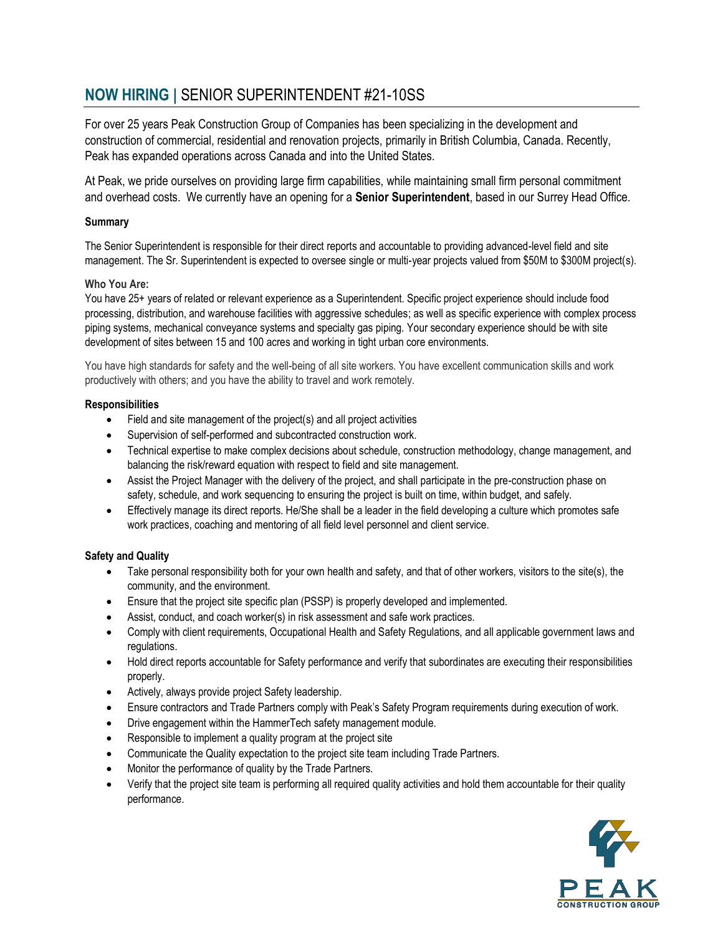# **NOW HIRING |** SENIOR SUPERINTENDENT #21-10SS

For over 25 years Peak Construction Group of Companies has been specializing in the development and construction of commercial, residential and renovation projects, primarily in British Columbia, Canada. Recently, Peak has expanded operations across Canada and into the United States.

At Peak, we pride ourselves on providing large firm capabilities, while maintaining small firm personal commitment and overhead costs. We currently have an opening for a **Senior Superintendent**, based in our Surrey Head Office.

## **Summary**

The Senior Superintendent is responsible for their direct reports and accountable to providing advanced-level field and site management. The Sr. Superintendent is expected to oversee single or multi-year projects valued from \$50M to \$300M project(s).

## **Who You Are:**

You have 25+ years of related or relevant experience as a Superintendent. Specific project experience should include food processing, distribution, and warehouse facilities with aggressive schedules; as well as specific experience with complex process piping systems, mechanical conveyance systems and specialty gas piping. Your secondary experience should be with site development of sites between 15 and 100 acres and working in tight urban core environments.

You have high standards for safety and the well-being of all site workers. You have excellent communication skills and work productively with others; and you have the ability to travel and work remotely.

## **Responsibilities**

- Field and site management of the project(s) and all project activities
- Supervision of self-performed and subcontracted construction work.
- Technical expertise to make complex decisions about schedule, construction methodology, change management, and balancing the risk/reward equation with respect to field and site management.
- Assist the Project Manager with the delivery of the project, and shall participate in the pre-construction phase on safety, schedule, and work sequencing to ensuring the project is built on time, within budget, and safely.
- Effectively manage its direct reports. He/She shall be a leader in the field developing a culture which promotes safe work practices, coaching and mentoring of all field level personnel and client service.

# **Safety and Quality**

- Take personal responsibility both for your own health and safety, and that of other workers, visitors to the site(s), the community, and the environment.
- Ensure that the project site specific plan (PSSP) is properly developed and implemented.
- Assist, conduct, and coach worker(s) in risk assessment and safe work practices.
- Comply with client requirements, Occupational Health and Safety Regulations, and all applicable government laws and regulations.
- Hold direct reports accountable for Safety performance and verify that subordinates are executing their responsibilities properly.
- Actively, always provide project Safety leadership.
- Ensure contractors and Trade Partners comply with Peak's Safety Program requirements during execution of work.
- Drive engagement within the HammerTech safety management module.
- Responsible to implement a quality program at the project site
- Communicate the Quality expectation to the project site team including Trade Partners.
- Monitor the performance of quality by the Trade Partners.
- Verify that the project site team is performing all required quality activities and hold them accountable for their quality performance.